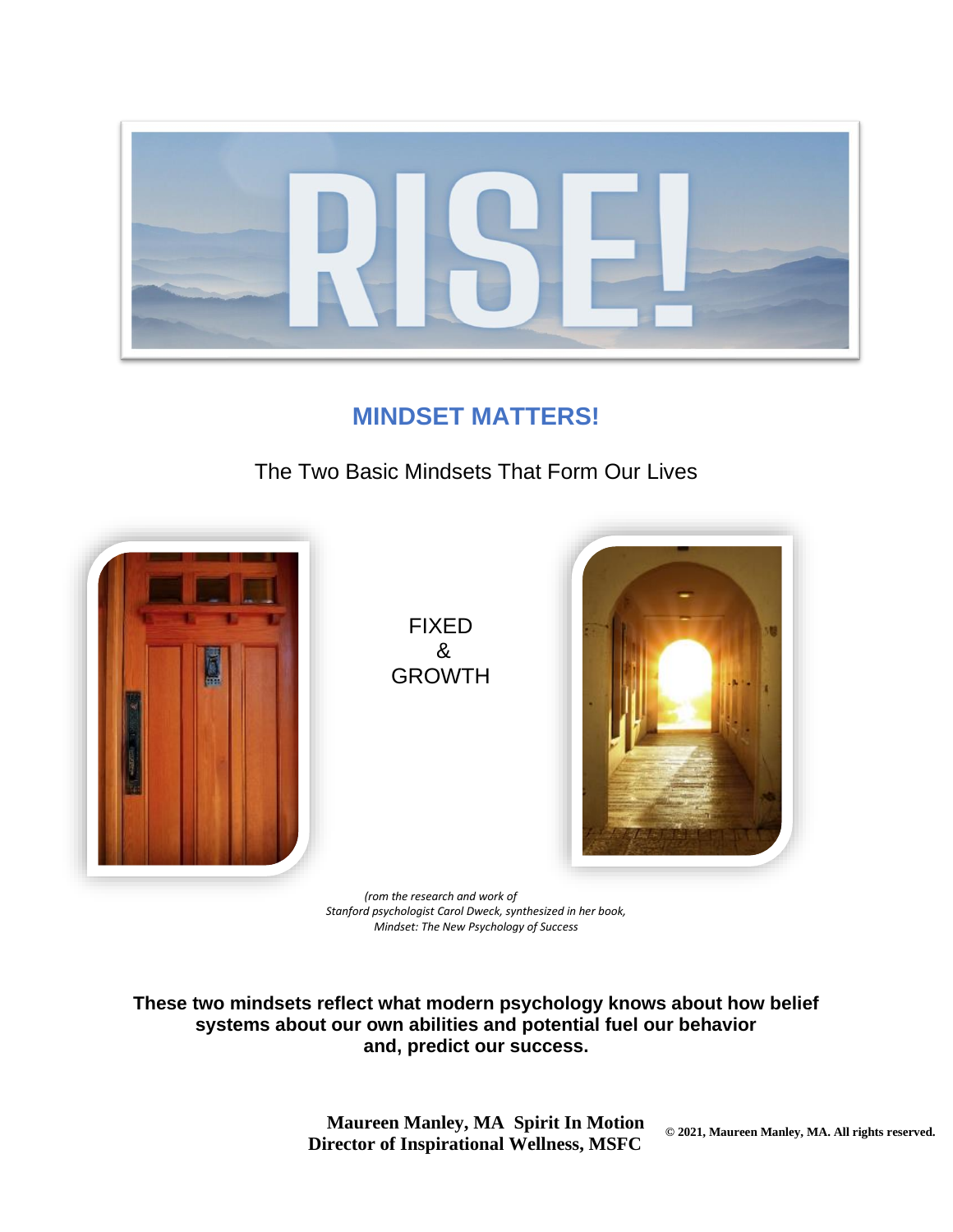

# **MINDSET MATTERS!**

### The Two Basic Mindsets That Form Our Lives



*(rom the research and work of Stanford psychologist Carol Dweck, synthesized in her book, Mindset: The New Psychology of Success*

**These two mindsets reflect what modern psychology knows about how belief systems about our own abilities and potential fuel our behavior and, predict our success.**

> **Maureen Manley, MA Spirit In Motion Director of Inspirational Wellness, MSFC**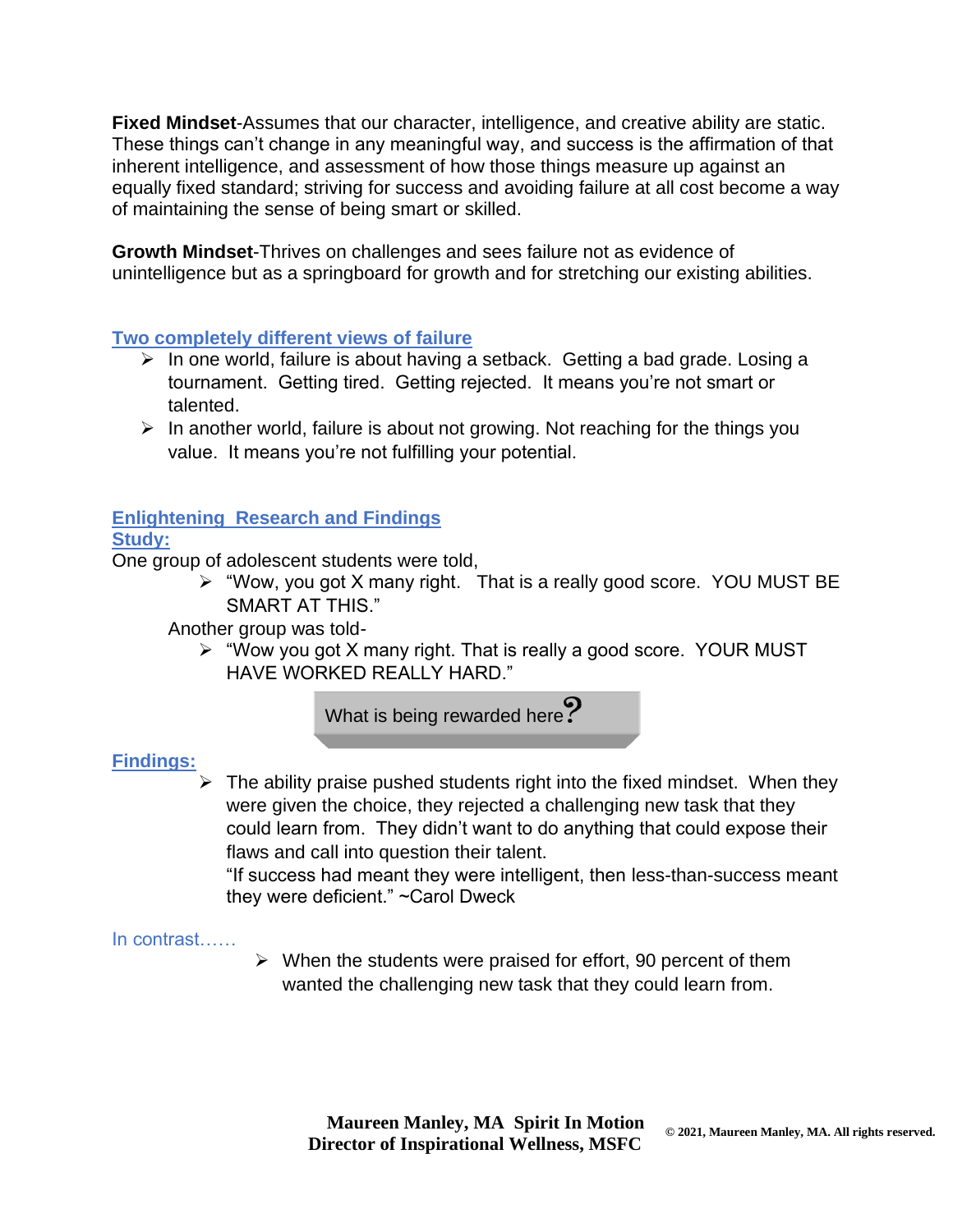**Fixed Mindset**-Assumes that our character, intelligence, and creative ability are static. These things can't change in any meaningful way, and success is the affirmation of that inherent intelligence, and assessment of how those things measure up against an equally fixed standard; striving for success and avoiding failure at all cost become a way of maintaining the sense of being smart or skilled.

**Growth Mindset**-Thrives on challenges and sees failure not as evidence of unintelligence but as a springboard for growth and for stretching our existing abilities.

#### **Two completely different views of failure**

- ➢ In one world, failure is about having a setback. Getting a bad grade. Losing a tournament. Getting tired. Getting rejected. It means you're not smart or talented.
- ➢ In another world, failure is about not growing. Not reaching for the things you value. It means you're not fulfilling your potential.

### **Enlightening Research and Findings**

#### **Study:**

One group of adolescent students were told,

➢ "Wow, you got X many right. That is a really good score. YOU MUST BE SMART AT THIS."

Another group was told-

➢ "Wow you got X many right. That is really a good score. YOUR MUST HAVE WORKED REALLY HARD."

What is being rewarded here?

#### **Findings:**

 $\triangleright$  The ability praise pushed students right into the fixed mindset. When they were given the choice, they rejected a challenging new task that they could learn from. They didn't want to do anything that could expose their flaws and call into question their talent.

"If success had meant they were intelligent, then less-than-success meant they were deficient." ~Carol Dweck

#### In contrast……

 $\triangleright$  When the students were praised for effort, 90 percent of them wanted the challenging new task that they could learn from.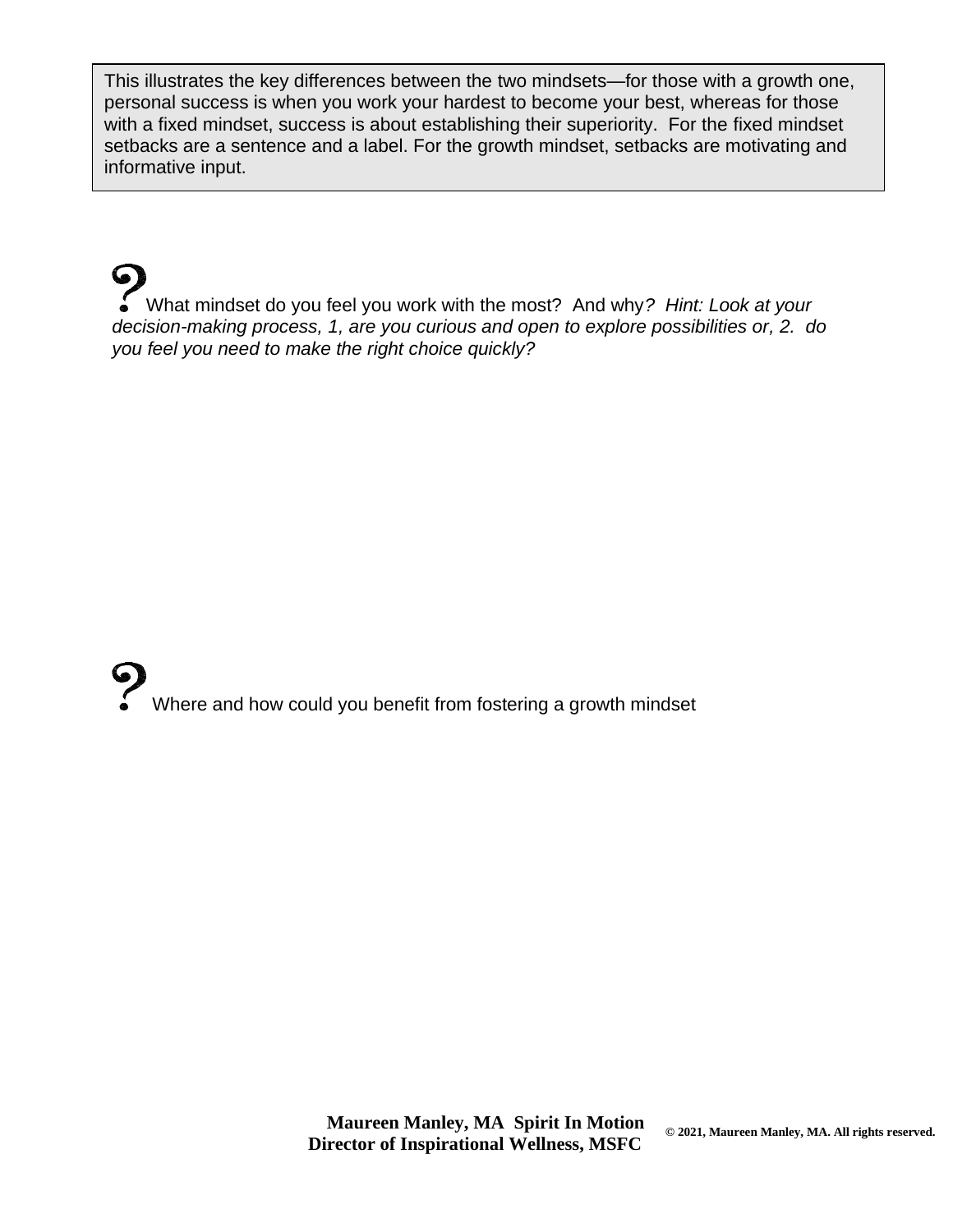This illustrates the key differences between the two mindsets—for those with a growth one, personal success is when you work your hardest to become your best, whereas for those with a fixed mindset, success is about establishing their superiority. For the fixed mindset setbacks are a sentence and a label. For the growth mindset, setbacks are motivating and informative input.

What mindset do you feel you work with the most? And why*? Hint: Look at your decision-making process, 1, are you curious and open to explore possibilities or, 2. do you feel you need to make the right choice quickly?* 

Where and how could you benefit from fostering a growth mindset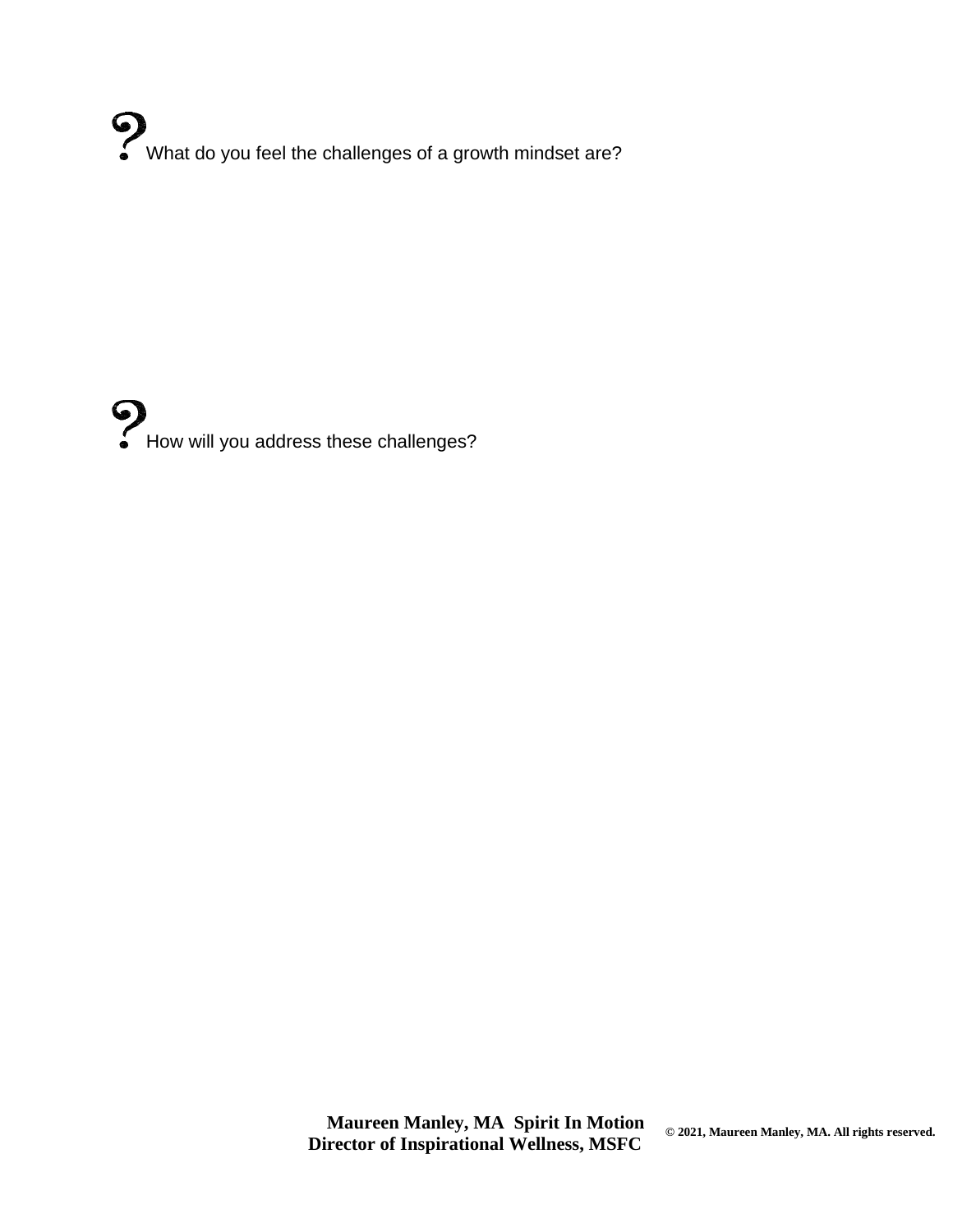What do you feel the challenges of a growth mindset are?



 **Maureen Manley, MA Spirit In Motion Director of Inspirational Wellness, MSFC**

**© 2021, Maureen Manley, MA. All rights reserved.**